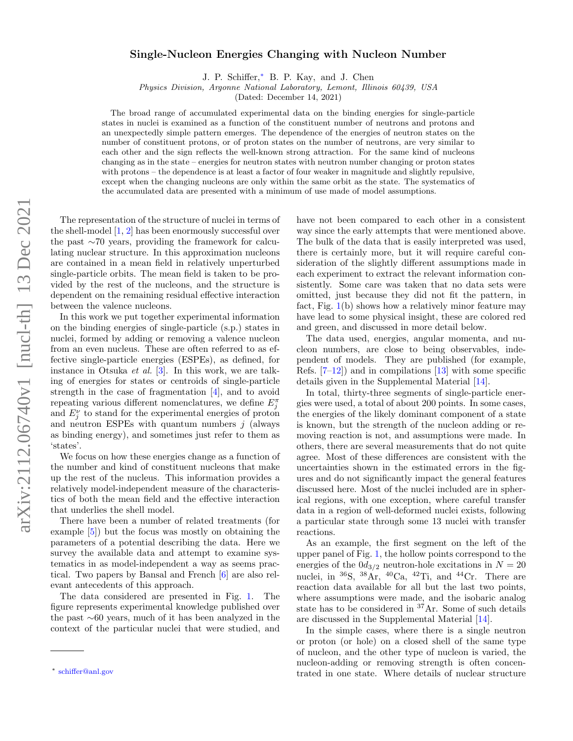## arXiv:2112.06740v1 [nucl-th] 13 Dec 2021 arXiv:2112.06740v1 [nucl-th] 13 Dec 2021

## Single-Nucleon Energies Changing with Nucleon Number

J. P. Schiffer,[∗](#page-0-0) B. P. Kay, and J. Chen

Physics Division, Argonne National Laboratory, Lemont, Illinois 60439, USA

(Dated: December 14, 2021)

The broad range of accumulated experimental data on the binding energies for single-particle states in nuclei is examined as a function of the constituent number of neutrons and protons and an unexpectedly simple pattern emerges. The dependence of the energies of neutron states on the number of constituent protons, or of proton states on the number of neutrons, are very similar to each other and the sign reflects the well-known strong attraction. For the same kind of nucleons changing as in the state – energies for neutron states with neutron number changing or proton states with protons – the dependence is at least a factor of four weaker in magnitude and slightly repulsive, except when the changing nucleons are only within the same orbit as the state. The systematics of the accumulated data are presented with a minimum of use made of model assumptions.

The representation of the structure of nuclei in terms of the shell-model [\[1,](#page-4-0) [2\]](#page-4-1) has been enormously successful over the past ∼70 years, providing the framework for calculating nuclear structure. In this approximation nucleons are contained in a mean field in relatively unperturbed single-particle orbits. The mean field is taken to be provided by the rest of the nucleons, and the structure is dependent on the remaining residual effective interaction between the valence nucleons.

In this work we put together experimental information on the binding energies of single-particle (s.p.) states in nuclei, formed by adding or removing a valence nucleon from an even nucleus. These are often referred to as effective single-particle energies (ESPEs), as defined, for instance in Otsuka et al. [\[3\]](#page-4-2). In this work, we are talking of energies for states or centroids of single-particle strength in the case of fragmentation [\[4\]](#page-4-3), and to avoid repeating various different nomenclatures, we define  $E_j^{\pi}$ and  $E_j^{\nu}$  to stand for the experimental energies of proton and neutron ESPEs with quantum numbers  $j$  (always as binding energy), and sometimes just refer to them as 'states'.

We focus on how these energies change as a function of the number and kind of constituent nucleons that make up the rest of the nucleus. This information provides a relatively model-independent measure of the characteristics of both the mean field and the effective interaction that underlies the shell model.

There have been a number of related treatments (for example [\[5\]](#page-4-4)) but the focus was mostly on obtaining the parameters of a potential describing the data. Here we survey the available data and attempt to examine systematics in as model-independent a way as seems practical. Two papers by Bansal and French [\[6\]](#page-4-5) are also relevant antecedents of this approach.

The data considered are presented in Fig. [1.](#page-1-0) The figure represents experimental knowledge published over the past ∼60 years, much of it has been analyzed in the context of the particular nuclei that were studied, and have not been compared to each other in a consistent way since the early attempts that were mentioned above. The bulk of the data that is easily interpreted was used, there is certainly more, but it will require careful consideration of the slightly different assumptions made in each experiment to extract the relevant information consistently. Some care was taken that no data sets were omitted, just because they did not fit the pattern, in fact, Fig.  $1(b)$  $1(b)$  shows how a relatively minor feature may have lead to some physical insight, these are colored red and green, and discussed in more detail below.

The data used, energies, angular momenta, and nucleon numbers, are close to being observables, independent of models. They are published (for example, Refs.  $[7-12]$  $[7-12]$  and in compilations  $[13]$  with some specific details given in the Supplemental Material [\[14\]](#page-4-9).

In total, thirty-three segments of single-particle energies were used, a total of about 200 points. In some cases, the energies of the likely dominant component of a state is known, but the strength of the nucleon adding or removing reaction is not, and assumptions were made. In others, there are several measurements that do not quite agree. Most of these differences are consistent with the uncertainties shown in the estimated errors in the figures and do not significantly impact the general features discussed here. Most of the nuclei included are in spherical regions, with one exception, where careful transfer data in a region of well-deformed nuclei exists, following a particular state through some 13 nuclei with transfer reactions.

As an example, the first segment on the left of the upper panel of Fig. [1,](#page-1-0) the hollow points correspond to the energies of the  $0d_{3/2}$  neutron-hole excitations in  $N = 20$ nuclei, in  ${}^{36}S$ ,  ${}^{38}Ar$ ,  ${}^{40}Ca$ ,  ${}^{42}Ti$ , and  ${}^{44}Cr$ . There are reaction data available for all but the last two points, where assumptions were made, and the isobaric analog state has to be considered in <sup>37</sup>Ar. Some of such details are discussed in the Supplemental Material [\[14\]](#page-4-9).

In the simple cases, where there is a single neutron or proton (or hole) on a closed shell of the same type of nucleon, and the other type of nucleon is varied, the nucleon-adding or removing strength is often concentrated in one state. Where details of nuclear structure

<span id="page-0-0"></span><sup>∗</sup> [schiffer@anl.gov](mailto:schiffer@anl.gov)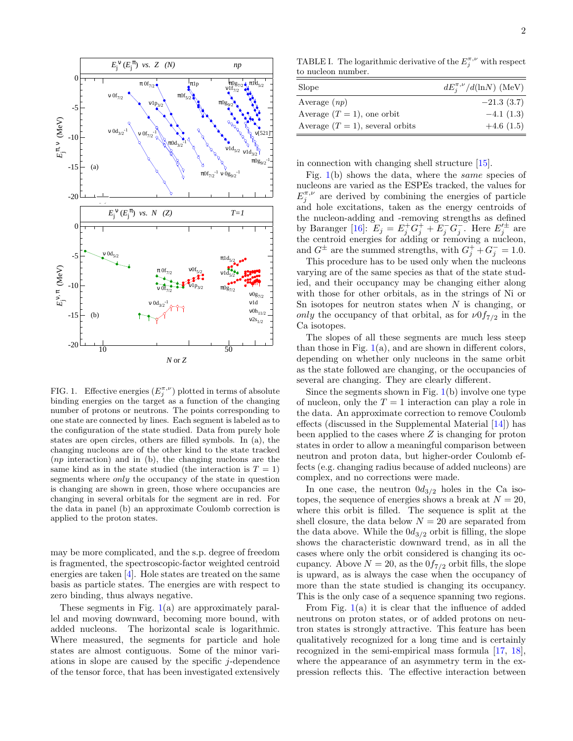

<span id="page-1-0"></span>FIG. 1. Effective energies  $(E_j^{\pi,\nu})$  plotted in terms of absolute binding energies on the target as a function of the changing number of protons or neutrons. The points corresponding to one state are connected by lines. Each segment is labeled as to the configuration of the state studied. Data from purely hole states are open circles, others are filled symbols. In (a), the changing nucleons are of the other kind to the state tracked (np interaction) and in (b), the changing nucleons are the same kind as in the state studied (the interaction is  $T = 1$ ) segments where only the occupancy of the state in question is changing are shown in green, those where occupancies are changing in several orbitals for the segment are in red. For the data in panel (b) an approximate Coulomb correction is applied to the proton states.

may be more complicated, and the s.p. degree of freedom is fragmented, the spectroscopic-factor weighted centroid energies are taken [\[4\]](#page-4-3). Hole states are treated on the same basis as particle states. The energies are with respect to zero binding, thus always negative.

These segments in Fig. [1\(](#page-1-0)a) are approximately parallel and moving downward, becoming more bound, with added nucleons. The horizontal scale is logarithmic. Where measured, the segments for particle and hole states are almost contiguous. Some of the minor variations in slope are caused by the specific j-dependence of the tensor force, that has been investigated extensively

<span id="page-1-1"></span>TABLE I. The logarithmic derivative of the  $E_j^{\pi,\nu}$  with respect to nucleon number.

| Slope                              | $dE_i^{\pi,\nu}/d(\ln N)$ (MeV) |
|------------------------------------|---------------------------------|
| Average $(np)$                     | $-21.3(3.7)$                    |
| Average $(T = 1)$ , one orbit      | $-4.1(1.3)$                     |
| Average $(T = 1)$ , several orbits | $+4.6(1.5)$                     |

in connection with changing shell structure [\[15\]](#page-4-10).

Fig.  $1(b)$  $1(b)$  shows the data, where the *same* species of nucleons are varied as the ESPEs tracked, the values for  $E_j^{\pi,\nu}$  are derived by combining the energies of particle and hole excitations, taken as the energy centroids of the nucleon-adding and -removing strengths as defined by Baranger [\[16\]](#page-4-11):  $E_j = E_j^+ G_j^+ + E_j^- G_j^-$ . Here  $E_j'^{\pm}$  are the centroid energies for adding or removing a nucleon, and  $G^{\pm}$  are the summed strengths, with  $G_j^+ + G_j^- = 1.0$ .

This procedure has to be used only when the nucleons varying are of the same species as that of the state studied, and their occupancy may be changing either along with those for other orbitals, as in the strings of Ni or Sn isotopes for neutron states when  $N$  is changing, or only the occupancy of that orbital, as for  $\nu 0f_{7/2}$  in the Ca isotopes.

The slopes of all these segments are much less steep than those in Fig.  $1(a)$  $1(a)$ , and are shown in different colors, depending on whether only nucleons in the same orbit as the state followed are changing, or the occupancies of several are changing. They are clearly different.

Since the segments shown in Fig. [1\(](#page-1-0)b) involve one type of nucleon, only the  $T = 1$  interaction can play a role in the data. An approximate correction to remove Coulomb effects (discussed in the Supplemental Material [\[14\]](#page-4-9)) has been applied to the cases where  $Z$  is changing for proton states in order to allow a meaningful comparison between neutron and proton data, but higher-order Coulomb effects (e.g. changing radius because of added nucleons) are complex, and no corrections were made.

In one case, the neutron  $0d_{3/2}$  holes in the Ca isotopes, the sequence of energies shows a break at  $N = 20$ , where this orbit is filled. The sequence is split at the shell closure, the data below  $N = 20$  are separated from the data above. While the  $0d_{3/2}$  orbit is filling, the slope shows the characteristic downward trend, as in all the cases where only the orbit considered is changing its occupancy. Above  $N = 20$ , as the  $0f_{7/2}$  orbit fills, the slope is upward, as is always the case when the occupancy of more than the state studied is changing its occupancy. This is the only case of a sequence spanning two regions.

From Fig. [1\(](#page-1-0)a) it is clear that the influence of added neutrons on proton states, or of added protons on neutron states is strongly attractive. This feature has been qualitatively recognized for a long time and is certainly recognized in the semi-empirical mass formula [\[17,](#page-4-12) [18\]](#page-4-13), where the appearance of an asymmetry term in the expression reflects this. The effective interaction between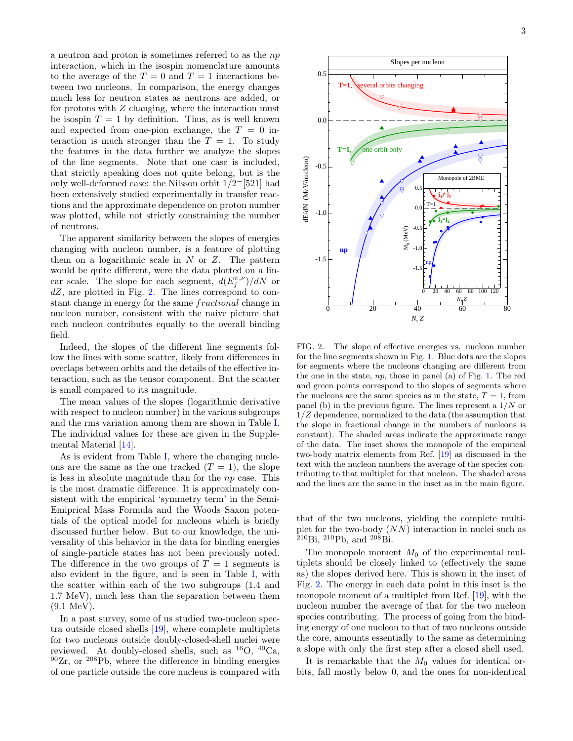a neutron and proton is sometimes referred to as the np interaction, which in the isospin nomenclature amounts to the average of the  $T = 0$  and  $T = 1$  interactions between two nucleons. In comparison, the energy changes much less for neutron states as neutrons are added, or for protons with  $Z$  changing, where the interaction must be isospin  $T = 1$  by definition. Thus, as is well known and expected from one-pion exchange, the  $T = 0$  interaction is much stronger than the  $T = 1$ . To study the features in the data further we analyze the slopes of the line segments. Note that one case is included, that strictly speaking does not quite belong, but is the only well-deformed case: the Nilsson orbit  $1/2^-$ [521] had been extensively studied experimentally in transfer reactions and the approximate dependence on proton number was plotted, while not strictly constraining the number of neutrons.

The apparent similarity between the slopes of energies changing with nucleon number, is a feature of plotting them on a logarithmic scale in  $N$  or  $Z$ . The pattern would be quite different, were the data plotted on a linear scale. The slope for each segment,  $d(E_j^{\pi,\nu})/dN$  or  $dZ$ , are plotted in Fig. [2.](#page-2-0) The lines correspond to constant change in energy for the same fractional change in nucleon number, consistent with the naive picture that each nucleon contributes equally to the overall binding field.

Indeed, the slopes of the different line segments follow the lines with some scatter, likely from differences in overlaps between orbits and the details of the effective interaction, such as the tensor component. But the scatter is small compared to its magnitude.

The mean values of the slopes (logarithmic derivative with respect to nucleon number) in the various subgroups and the rms variation among them are shown in Table [I.](#page-1-1) The individual values for these are given in the Supplemental Material [\[14\]](#page-4-9).

As is evident from Table [I,](#page-1-1) where the changing nucleons are the same as the one tracked  $(T = 1)$ , the slope is less in absolute magnitude than for the  $np$  case. This is the most dramatic difference. It is approximately consistent with the empirical 'symmetry term' in the Semi-Emiprical Mass Formula and the Woods Saxon potentials of the optical model for nucleons which is briefly discussed further below. But to our knowledge, the universality of this behavior in the data for binding energies of single-particle states has not been previously noted. The difference in the two groups of  $T = 1$  segments is also evident in the figure, and is seen in Table [I,](#page-1-1) with the scatter within each of the two subgroups (1.4 and 1.7 MeV), much less than the separation between them (9.1 MeV).

In a past survey, some of us studied two-nucleon spectra outside closed shells [\[19\]](#page-4-14), where complete multiplets for two nucleons outside doubly-closed-shell nuclei were reviewed. At doubly-closed shells, such as  ${}^{16}O$ ,  ${}^{40}Ca$ ,  $90Zr$ , or  $208Pb$ , where the difference in binding energies of one particle outside the core nucleus is compared with



<span id="page-2-0"></span>FIG. 2. The slope of effective energies vs. nucleon number for the line segments shown in Fig. [1.](#page-1-0) Blue dots are the slopes for segments where the nucleons changing are different from the one in the state,  $np$ , those in panel (a) of Fig. [1.](#page-1-0) The red and green points correspond to the slopes of segments where the nucleons are the same species as in the state,  $T = 1$ , from panel (b) in the previous figure. The lines represent a  $1/N$  or  $1/Z$  dependence, normalized to the data (the assumption that the slope in fractional change in the numbers of nucleons is constant). The shaded areas indicate the approximate range of the data. The inset shows the monopole of the empirical two-body matrix elements from Ref. [\[19\]](#page-4-14) as discussed in the text with the nucleon numbers the average of the species contributing to that multiplet for that nucleon. The shaded areas and the lines are the same in the inset as in the main figure.

that of the two nucleons, yielding the complete multiplet for the two-body  $(NN)$  interaction in nuclei such as  $^{210}$ Bi,  $^{210}$ Pb, and  $^{208}$ Bi.

The monopole moment  $M_0$  of the experimental multiplets should be closely linked to (effectively the same as) the slopes derived here. This is shown in the inset of Fig. [2.](#page-2-0) The energy in each data point in this inset is the monopole moment of a multiplet from Ref. [\[19\]](#page-4-14), with the nucleon number the average of that for the two nucleon species contributing. The process of going from the binding energy of one nucleon to that of two nucleons outside the core, amounts essentially to the same as determining a slope with only the first step after a closed shell used.

It is remarkable that the  $M_0$  values for identical orbits, fall mostly below 0, and the ones for non-identical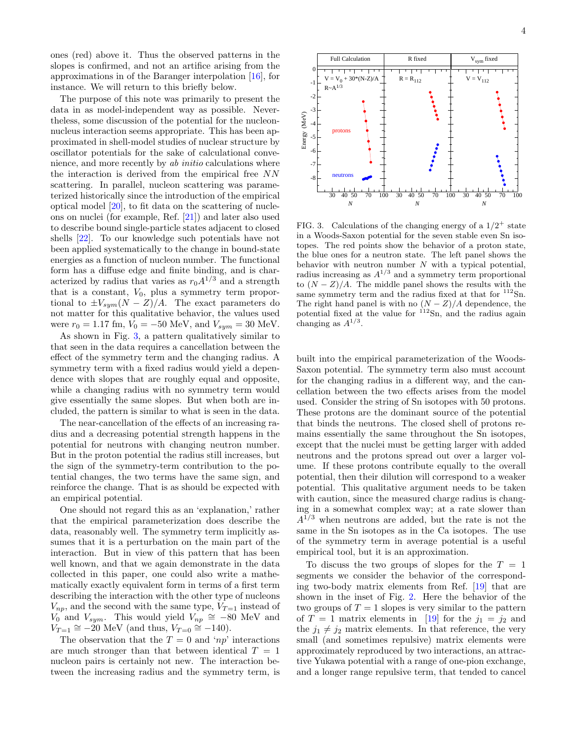ones (red) above it. Thus the observed patterns in the slopes is confirmed, and not an artifice arising from the approximations in of the Baranger interpolation [\[16\]](#page-4-11), for instance. We will return to this briefly below.

The purpose of this note was primarily to present the data in as model-independent way as possible. Nevertheless, some discussion of the potential for the nucleonnucleus interaction seems appropriate. This has been approximated in shell-model studies of nuclear structure by oscillator potentials for the sake of calculational convenience, and more recently by ab initio calculations where the interaction is derived from the empirical free NN scattering. In parallel, nucleon scattering was parameterized historically since the introduction of the empirical optical model [\[20\]](#page-4-15), to fit data on the scattering of nucleons on nuclei (for example, Ref. [\[21\]](#page-4-16)) and later also used to describe bound single-particle states adjacent to closed shells [\[22\]](#page-4-17). To our knowledge such potentials have not been applied systematically to the change in bound-state energies as a function of nucleon number. The functional form has a diffuse edge and finite binding, and is characterized by radius that varies as  $r_0A^{1/3}$  and a strength that is a constant,  $V_0$ , plus a symmetry term proportional to  $\pm V_{sym}(N - Z)/A$ . The exact parameters do not matter for this qualitative behavior, the values used were  $r_0 = 1.17$  fm,  $V_0 = -50$  MeV, and  $V_{sym} = 30$  MeV.

As shown in Fig. [3,](#page-3-0) a pattern qualitatively similar to that seen in the data requires a cancellation between the effect of the symmetry term and the changing radius. A symmetry term with a fixed radius would yield a dependence with slopes that are roughly equal and opposite, while a changing radius with no symmetry term would give essentially the same slopes. But when both are included, the pattern is similar to what is seen in the data.

The near-cancellation of the effects of an increasing radius and a decreasing potential strength happens in the potential for neutrons with changing neutron number. But in the proton potential the radius still increases, but the sign of the symmetry-term contribution to the potential changes, the two terms have the same sign, and reinforce the change. That is as should be expected with an empirical potential.

One should not regard this as an 'explanation,' rather that the empirical parameterization does describe the data, reasonably well. The symmetry term implicitly assumes that it is a perturbation on the main part of the interaction. But in view of this pattern that has been well known, and that we again demonstrate in the data collected in this paper, one could also write a mathematically exactly equivalent form in terms of a first term describing the interaction with the other type of nucleons  $V_{np}$ , and the second with the same type,  $V_{T=1}$  instead of  $V_0$  and  $V_{sym}$ . This would yield  $V_{np} \cong -80$  MeV and  $V_{T=1} \cong -20$  MeV (and thus,  $V_{T=0} \cong -140$ ).

The observation that the  $T = 0$  and 'np' interactions are much stronger than that between identical  $T = 1$ nucleon pairs is certainly not new. The interaction between the increasing radius and the symmetry term, is

30 40 50 70 100 -8 -7 -6 -5 -4 *N* protons neutrons 30 40 50 70 100 *N* 30 40 50 70 100 *N* FIG. 3. Calculations of the changing energy of a  $1/2^+$  state in a Woods-Saxon potential for the seven stable even Sn iso-

<span id="page-3-0"></span>topes. The red points show the behavior of a proton state, the blue ones for a neutron state. The left panel shows the behavior with neutron number  $N$  with a typical potential, radius increasing as  $A^{1/3}$  and a symmetry term proportional to  $(N - Z)/A$ . The middle panel shows the results with the same symmetry term and the radius fixed at that for  $112\text{Sn}$ . The right hand panel is with no  $(N - Z)/A$  dependence, the potential fixed at the value for  $\frac{112}{2}$ Sn, and the radius again changing as  $A^{1/3}$ .

built into the empirical parameterization of the Woods-Saxon potential. The symmetry term also must account for the changing radius in a different way, and the cancellation between the two effects arises from the model used. Consider the string of Sn isotopes with 50 protons. These protons are the dominant source of the potential that binds the neutrons. The closed shell of protons remains essentially the same throughout the Sn isotopes, except that the nuclei must be getting larger with added neutrons and the protons spread out over a larger volume. If these protons contribute equally to the overall potential, then their dilution will correspond to a weaker potential. This qualitative argument needs to be taken with caution, since the measured charge radius is changing in a somewhat complex way; at a rate slower than  $A^{1/3}$  when neutrons are added, but the rate is not the same in the Sn isotopes as in the Ca isotopes. The use of the symmetry term in average potential is a useful empirical tool, but it is an approximation.

To discuss the two groups of slopes for the  $T = 1$ segments we consider the behavior of the corresponding two-body matrix elements from Ref. [\[19\]](#page-4-14) that are shown in the inset of Fig. [2.](#page-2-0) Here the behavior of the two groups of  $T = 1$  slopes is very similar to the pattern of  $T = 1$  matrix elements in [\[19\]](#page-4-14) for the  $j_1 = j_2$  and the  $j_1 \neq j_2$  matrix elements. In that reference, the very small (and sometimes repulsive) matrix elements were approximately reproduced by two interactions, an attractive Yukawa potential with a range of one-pion exchange, and a longer range repulsive term, that tended to cancel